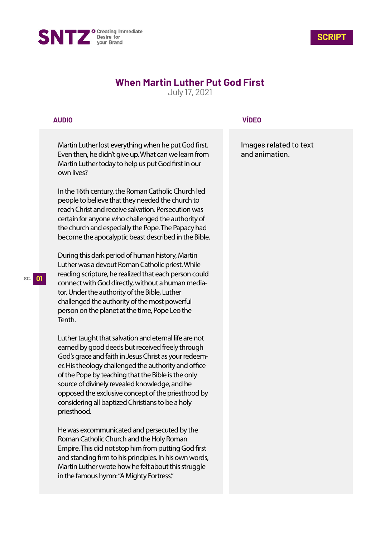



# **When Martin Luther Put God First**

July 17, 2021

# **AUDIO**

Martin Luther lost everything when he put God first. Even then, he didn't give up. What can we learn from Martin Luther today to help us put God first in our own lives?

In the 16th century, the Roman Catholic Church led people to believe that they needed the church to reach Christ and receive salvation. Persecution was certain for anyone who challenged the authority of the church and especially the Pope. The Papacy had become the apocalyptic beast described in the Bible.

During this dark period of human history, Martin Luther was a devout Roman Catholic priest. While reading scripture, he realized that each person could connect with God directly, without a human mediator. Under the authority of the Bible, Luther challenged the authority of the most powerful person on the planet at the time, Pope Leo the Tenth.

Luther taught that salvation and eternal life are not earned by good deeds but received freely through God's grace and faith in Jesus Christ as your redeemer. His theology challenged the authority and office of the Pope by teaching that the Bible is the only source of divinely revealed knowledge, and he opposed the exclusive concept of the priesthood by considering all baptized Christians to be a holy priesthood.

He was excommunicated and persecuted by the Roman Catholic Church and the Holy Roman Empire. This did not stop him from putting God first and standing firm to his principles. In his own words, Martin Luther wrote how he felt about this struggle in the famous hymn: "A Mighty Fortress."

### **VÍDEO**

Images related to text and animation.